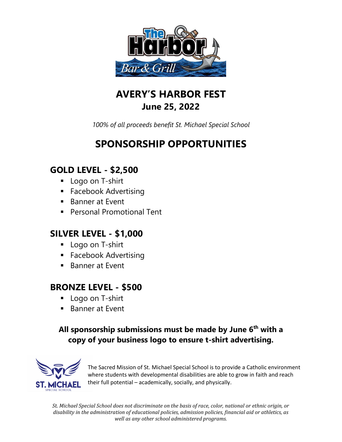

## **AVERY'S HARBOR FEST June 25, 2022**

*100% of all proceeds benefit St. Michael Special School*

# **SPONSORSHIP OPPORTUNITIES**

### **GOLD LEVEL - \$2,500**

- **Logo on T-shirt**
- **Facebook Advertising**
- Banner at Fyent
- Personal Promotional Tent

#### **SILVER LEVEL - \$1,000**

- **Logo on T-shirt**
- **Facebook Advertising**
- Banner at Event

#### **BRONZE LEVEL - \$500**

- **Logo on T-shirt**
- Banner at Event

#### **All sponsorship submissions must be made by June 6th with a copy of your business logo to ensure t-shirt advertising.**



The Sacred Mission of St. Michael Special School is to provide a Catholic environment where students with developmental disabilities are able to grow in faith and reach their full potential – academically, socially, and physically.

*St. Michael Special School does not discriminate on the basis of race, color, national or ethnic origin, or disability in the administration of educational policies, admission policies, financial aid or athletics, as well as any other school administered programs.*